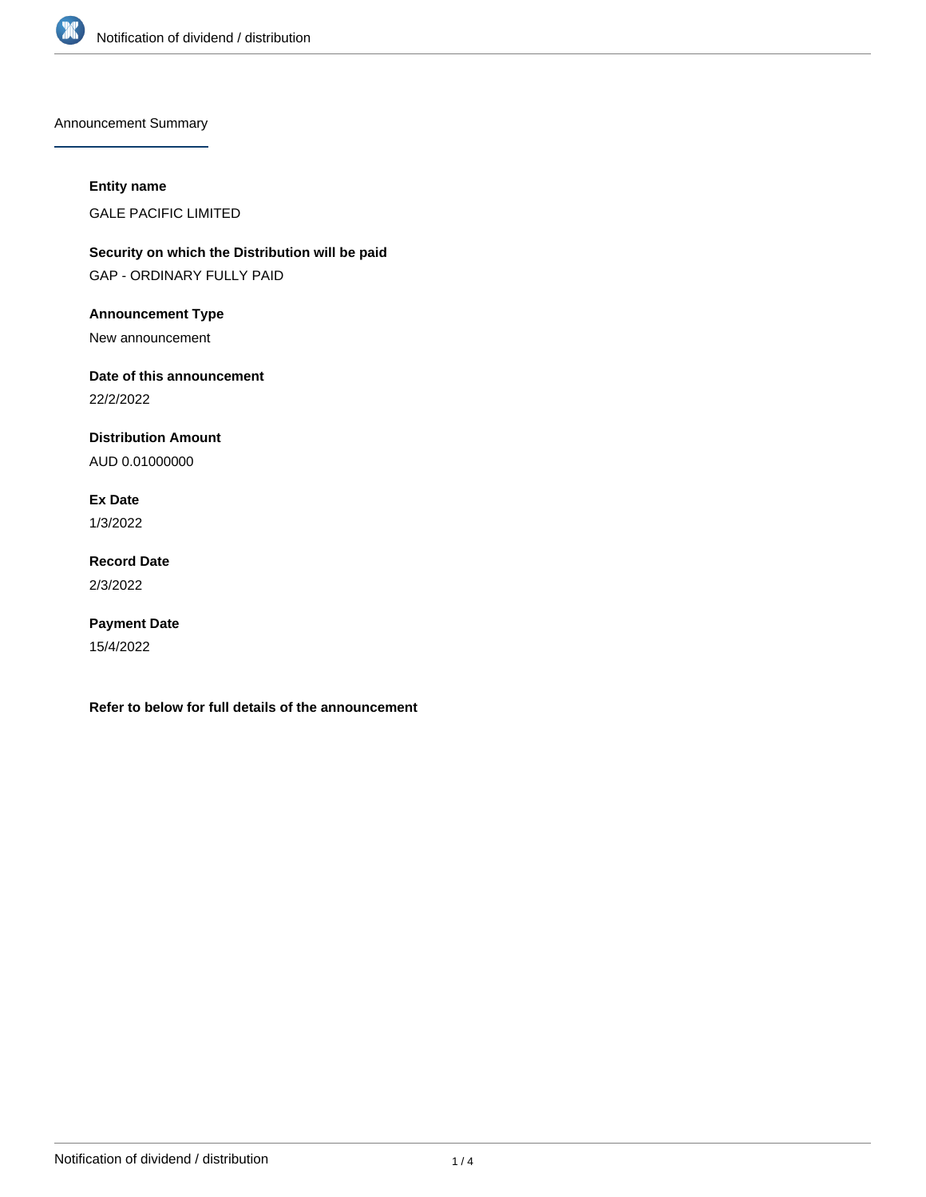

Announcement Summary

## **Entity name**

GALE PACIFIC LIMITED

**Security on which the Distribution will be paid** GAP - ORDINARY FULLY PAID

**Announcement Type**

New announcement

**Date of this announcement**

22/2/2022

**Distribution Amount**

AUD 0.01000000

**Ex Date**

1/3/2022

**Record Date** 2/3/2022

**Payment Date** 15/4/2022

**Refer to below for full details of the announcement**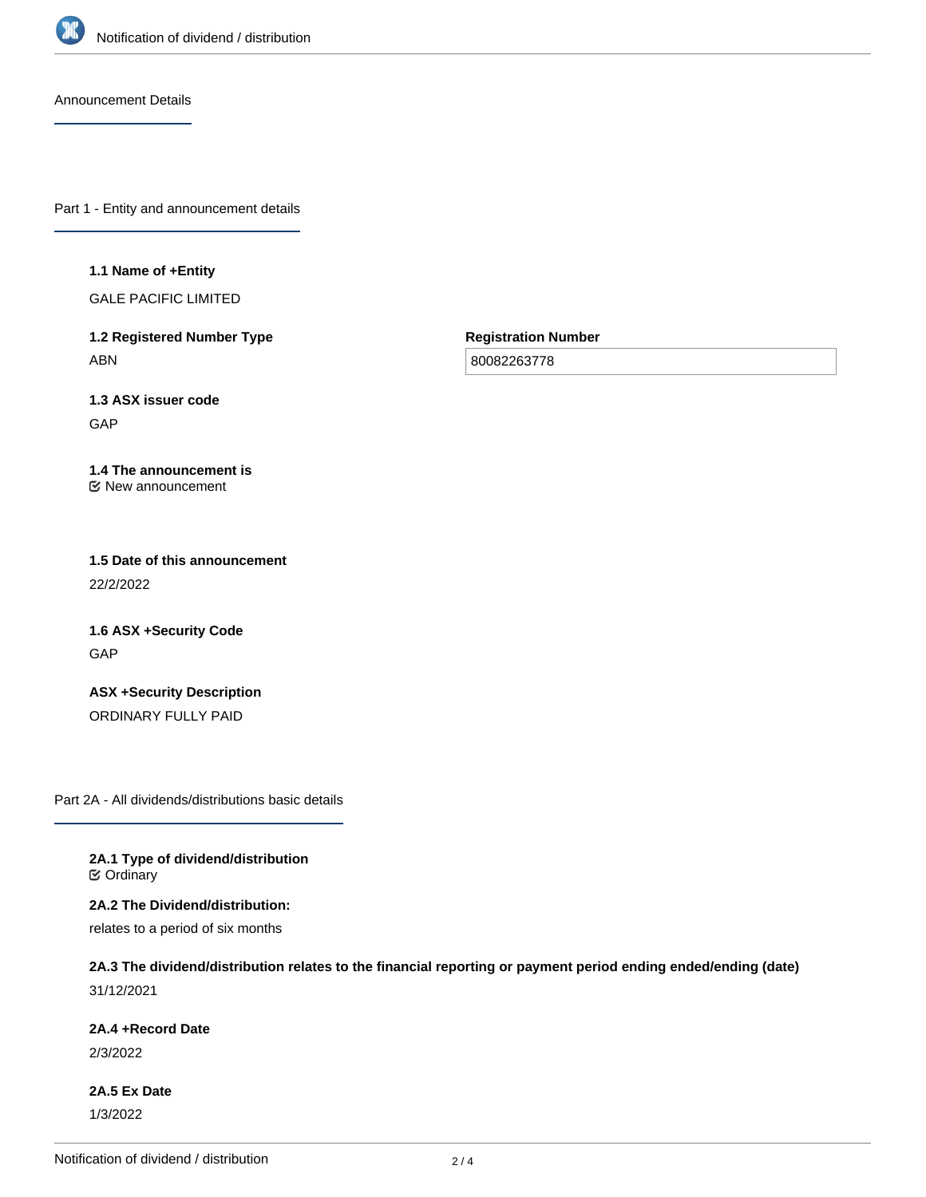

Announcement Details

Part 1 - Entity and announcement details

#### **1.1 Name of +Entity**

GALE PACIFIC LIMITED

**1.2 Registered Number Type** ABN

**Registration Number**

80082263778

**1.3 ASX issuer code** GAP

#### **1.4 The announcement is** New announcement

**1.5 Date of this announcement** 22/2/2022

**1.6 ASX +Security Code GAP** 

**ASX +Security Description** ORDINARY FULLY PAID

Part 2A - All dividends/distributions basic details

**2A.1 Type of dividend/distribution C** Ordinary

**2A.2 The Dividend/distribution:**

relates to a period of six months

# **2A.3 The dividend/distribution relates to the financial reporting or payment period ending ended/ending (date)** 31/12/2021

**2A.4 +Record Date**

2/3/2022

**2A.5 Ex Date** 1/3/2022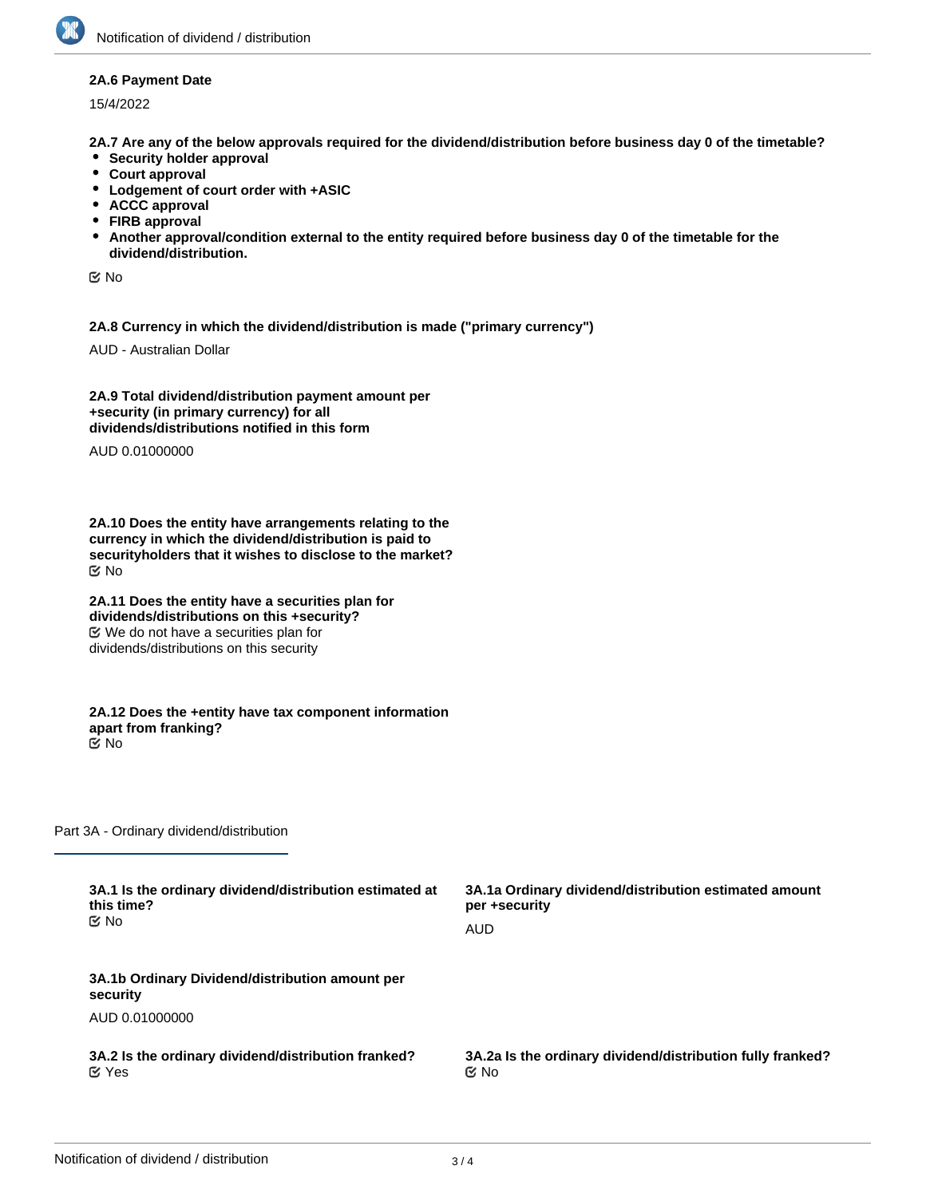### **2A.6 Payment Date**

15/4/2022

**2A.7 Are any of the below approvals required for the dividend/distribution before business day 0 of the timetable?**

- **•** Security holder approval
- **Court approval**
- **Lodgement of court order with +ASIC**
- **ACCC approval**
- **FIRB approval**
- **Another approval/condition external to the entity required before business day 0 of the timetable for the dividend/distribution.**

No

**2A.8 Currency in which the dividend/distribution is made ("primary currency")**

AUD - Australian Dollar

**2A.9 Total dividend/distribution payment amount per +security (in primary currency) for all dividends/distributions notified in this form**

AUD 0.01000000

**2A.10 Does the entity have arrangements relating to the currency in which the dividend/distribution is paid to securityholders that it wishes to disclose to the market?** No

**2A.11 Does the entity have a securities plan for dividends/distributions on this +security?** We do not have a securities plan for dividends/distributions on this security

**2A.12 Does the +entity have tax component information apart from franking?** No

Part 3A - Ordinary dividend/distribution

| 3A.1 Is the ordinary dividend/distribution estimated at     | 3A.1a Ordinary dividend/distribution estimated amount      |
|-------------------------------------------------------------|------------------------------------------------------------|
| this time?                                                  | per +security                                              |
| C⁄⊠ No                                                      | AUD                                                        |
| 3A.1b Ordinary Dividend/distribution amount per<br>security |                                                            |
| AUD 0.01000000                                              |                                                            |
| 3A.2 Is the ordinary dividend/distribution franked?         | 3A.2a Is the ordinary dividend/distribution fully franked? |
| $\alpha$ Yes                                                | $\mathfrak{C}$ No                                          |